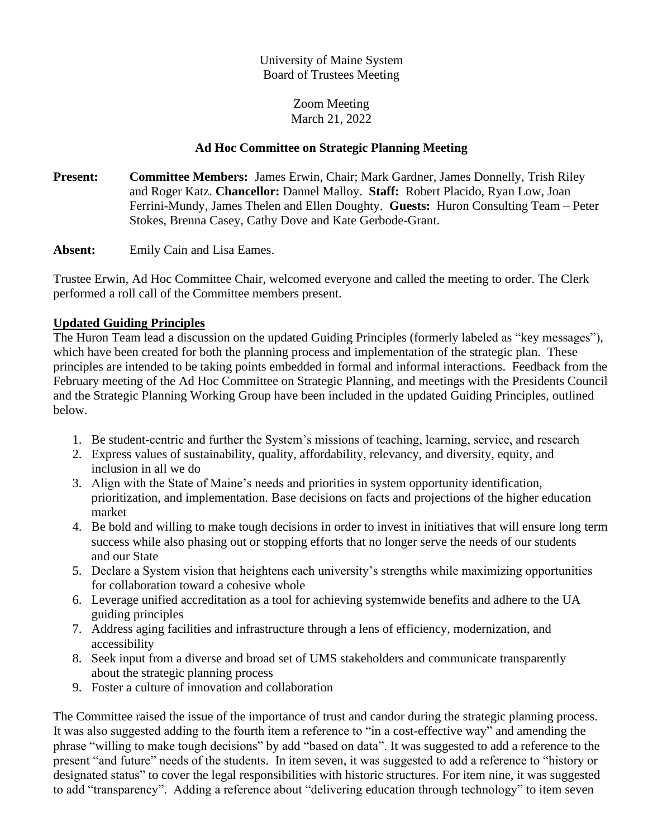### University of Maine System Board of Trustees Meeting

#### Zoom Meeting March 21, 2022

## **Ad Hoc Committee on Strategic Planning Meeting**

**Present: Committee Members:** James Erwin, Chair; Mark Gardner, James Donnelly, Trish Riley and Roger Katz. **Chancellor:** Dannel Malloy. **Staff:** Robert Placido, Ryan Low, Joan Ferrini-Mundy, James Thelen and Ellen Doughty. **Guests:** Huron Consulting Team – Peter Stokes, Brenna Casey, Cathy Dove and Kate Gerbode-Grant.

**Absent:** Emily Cain and Lisa Eames.

Trustee Erwin, Ad Hoc Committee Chair, welcomed everyone and called the meeting to order. The Clerk performed a roll call of the Committee members present.

### **Updated Guiding Principles**

The Huron Team lead a discussion on the updated Guiding Principles (formerly labeled as "key messages"), which have been created for both the planning process and implementation of the strategic plan. These principles are intended to be taking points embedded in formal and informal interactions. Feedback from the February meeting of the Ad Hoc Committee on Strategic Planning, and meetings with the Presidents Council and the Strategic Planning Working Group have been included in the updated Guiding Principles, outlined below.

- 1. Be student-centric and further the System's missions of teaching, learning, service, and research
- 2. Express values of sustainability, quality, affordability, relevancy, and diversity, equity, and inclusion in all we do
- 3. Align with the State of Maine's needs and priorities in system opportunity identification, prioritization, and implementation. Base decisions on facts and projections of the higher education market
- 4. Be bold and willing to make tough decisions in order to invest in initiatives that will ensure long term success while also phasing out or stopping efforts that no longer serve the needs of our students and our State
- 5. Declare a System vision that heightens each university's strengths while maximizing opportunities for collaboration toward a cohesive whole
- 6. Leverage unified accreditation as a tool for achieving systemwide benefits and adhere to the UA guiding principles
- 7. Address aging facilities and infrastructure through a lens of efficiency, modernization, and accessibility
- 8. Seek input from a diverse and broad set of UMS stakeholders and communicate transparently about the strategic planning process
- 9. Foster a culture of innovation and collaboration

The Committee raised the issue of the importance of trust and candor during the strategic planning process. It was also suggested adding to the fourth item a reference to "in a cost-effective way" and amending the phrase "willing to make tough decisions" by add "based on data". It was suggested to add a reference to the present "and future" needs of the students. In item seven, it was suggested to add a reference to "history or designated status" to cover the legal responsibilities with historic structures. For item nine, it was suggested to add "transparency". Adding a reference about "delivering education through technology" to item seven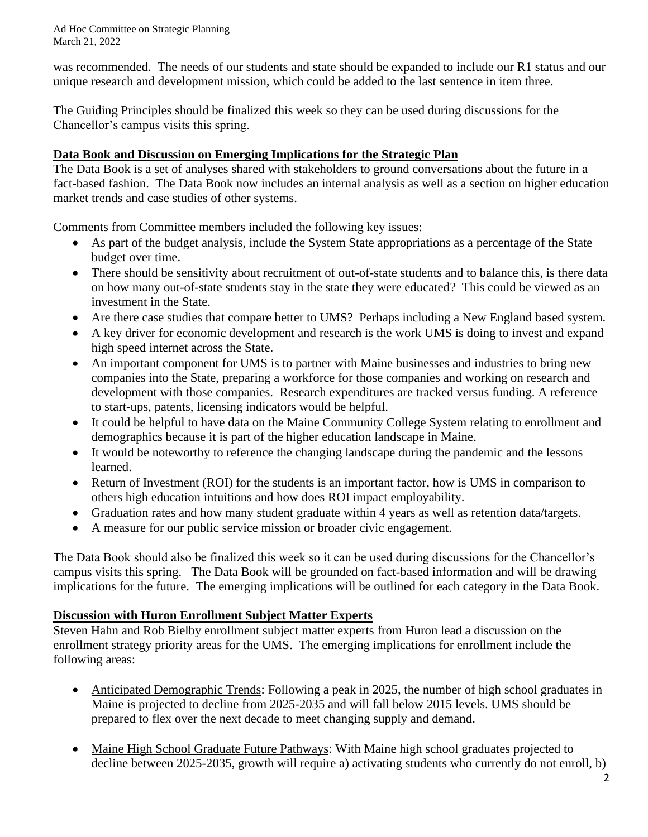Ad Hoc Committee on Strategic Planning March 21, 2022

was recommended. The needs of our students and state should be expanded to include our R1 status and our unique research and development mission, which could be added to the last sentence in item three.

The Guiding Principles should be finalized this week so they can be used during discussions for the Chancellor's campus visits this spring.

## **Data Book and Discussion on Emerging Implications for the Strategic Plan**

The Data Book is a set of analyses shared with stakeholders to ground conversations about the future in a fact-based fashion. The Data Book now includes an internal analysis as well as a section on higher education market trends and case studies of other systems.

Comments from Committee members included the following key issues:

- As part of the budget analysis, include the System State appropriations as a percentage of the State budget over time.
- There should be sensitivity about recruitment of out-of-state students and to balance this, is there data on how many out-of-state students stay in the state they were educated? This could be viewed as an investment in the State.
- Are there case studies that compare better to UMS? Perhaps including a New England based system.
- A key driver for economic development and research is the work UMS is doing to invest and expand high speed internet across the State.
- An important component for UMS is to partner with Maine businesses and industries to bring new companies into the State, preparing a workforce for those companies and working on research and development with those companies. Research expenditures are tracked versus funding. A reference to start-ups, patents, licensing indicators would be helpful.
- It could be helpful to have data on the Maine Community College System relating to enrollment and demographics because it is part of the higher education landscape in Maine.
- It would be noteworthy to reference the changing landscape during the pandemic and the lessons learned.
- Return of Investment (ROI) for the students is an important factor, how is UMS in comparison to others high education intuitions and how does ROI impact employability.
- Graduation rates and how many student graduate within 4 years as well as retention data/targets.
- A measure for our public service mission or broader civic engagement.

The Data Book should also be finalized this week so it can be used during discussions for the Chancellor's campus visits this spring. The Data Book will be grounded on fact-based information and will be drawing implications for the future. The emerging implications will be outlined for each category in the Data Book.

# **Discussion with Huron Enrollment Subject Matter Experts**

Steven Hahn and Rob Bielby enrollment subject matter experts from Huron lead a discussion on the enrollment strategy priority areas for the UMS. The emerging implications for enrollment include the following areas:

- Anticipated Demographic Trends: Following a peak in 2025, the number of high school graduates in Maine is projected to decline from 2025-2035 and will fall below 2015 levels. UMS should be prepared to flex over the next decade to meet changing supply and demand.
- Maine High School Graduate Future Pathways: With Maine high school graduates projected to decline between 2025-2035, growth will require a) activating students who currently do not enroll, b)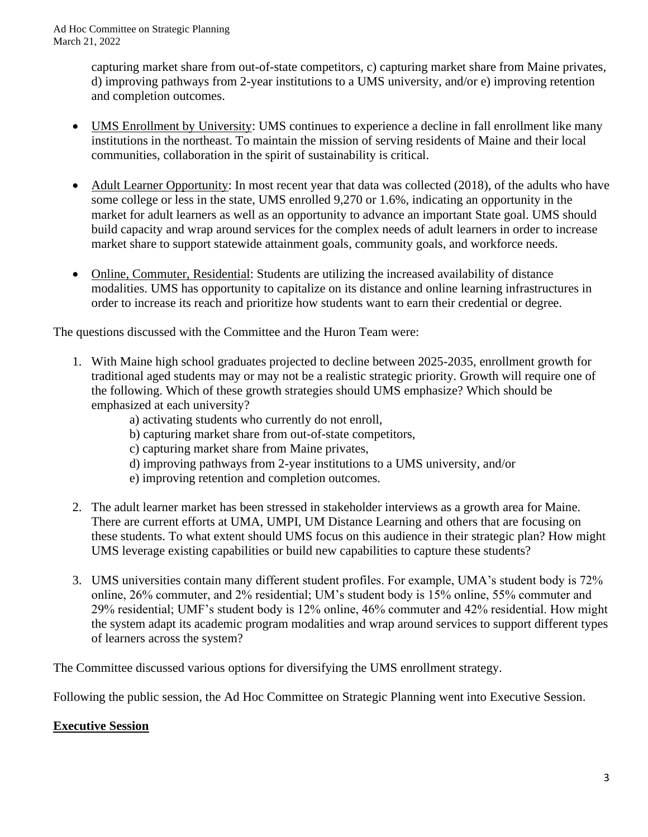capturing market share from out-of-state competitors, c) capturing market share from Maine privates, d) improving pathways from 2-year institutions to a UMS university, and/or e) improving retention and completion outcomes.

- UMS Enrollment by University: UMS continues to experience a decline in fall enrollment like many institutions in the northeast. To maintain the mission of serving residents of Maine and their local communities, collaboration in the spirit of sustainability is critical.
- Adult Learner Opportunity: In most recent year that data was collected (2018), of the adults who have some college or less in the state, UMS enrolled 9,270 or 1.6%, indicating an opportunity in the market for adult learners as well as an opportunity to advance an important State goal. UMS should build capacity and wrap around services for the complex needs of adult learners in order to increase market share to support statewide attainment goals, community goals, and workforce needs.
- Online, Commuter, Residential: Students are utilizing the increased availability of distance modalities. UMS has opportunity to capitalize on its distance and online learning infrastructures in order to increase its reach and prioritize how students want to earn their credential or degree.

The questions discussed with the Committee and the Huron Team were:

- 1. With Maine high school graduates projected to decline between 2025-2035, enrollment growth for traditional aged students may or may not be a realistic strategic priority. Growth will require one of the following. Which of these growth strategies should UMS emphasize? Which should be emphasized at each university?
	- a) activating students who currently do not enroll,
	- b) capturing market share from out-of-state competitors,
	- c) capturing market share from Maine privates,
	- d) improving pathways from 2-year institutions to a UMS university, and/or
	- e) improving retention and completion outcomes.
- 2. The adult learner market has been stressed in stakeholder interviews as a growth area for Maine. There are current efforts at UMA, UMPI, UM Distance Learning and others that are focusing on these students. To what extent should UMS focus on this audience in their strategic plan? How might UMS leverage existing capabilities or build new capabilities to capture these students?
- 3. UMS universities contain many different student profiles. For example, UMA's student body is 72% online, 26% commuter, and 2% residential; UM's student body is 15% online, 55% commuter and 29% residential; UMF's student body is 12% online, 46% commuter and 42% residential. How might the system adapt its academic program modalities and wrap around services to support different types of learners across the system?

The Committee discussed various options for diversifying the UMS enrollment strategy.

Following the public session, the Ad Hoc Committee on Strategic Planning went into Executive Session.

### **Executive Session**